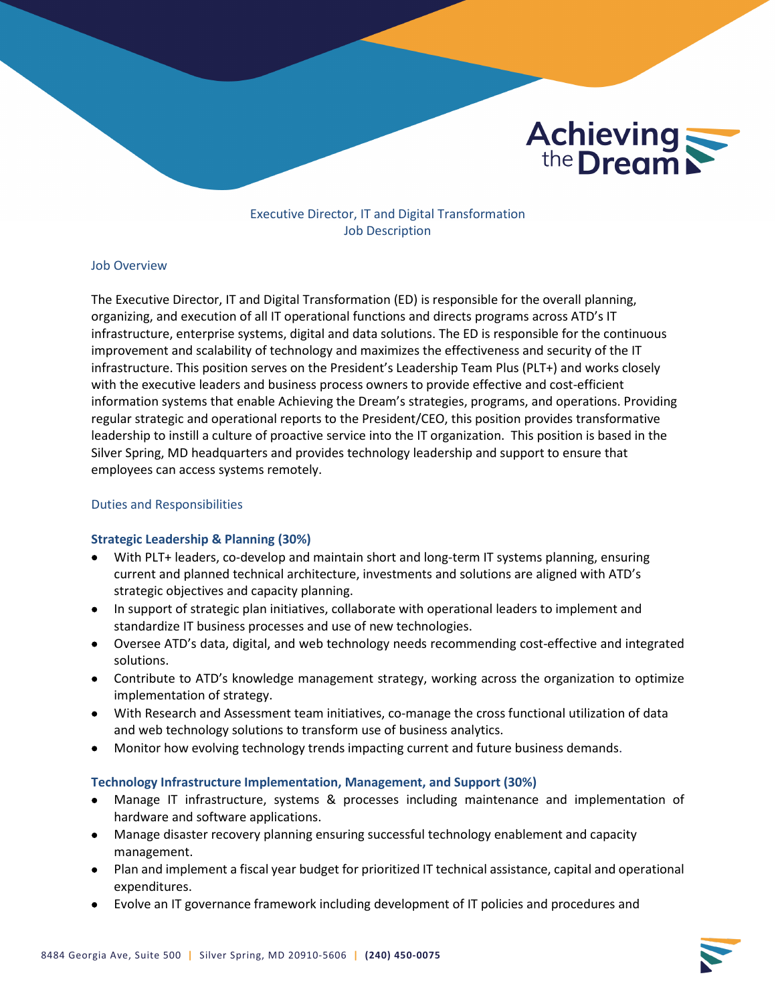

# Executive Director, IT and Digital Transformation Job Description

#### Job Overview

The Executive Director, IT and Digital Transformation (ED) is responsible for the overall planning, organizing, and execution of all IT operational functions and directs programs across ATD's IT infrastructure, enterprise systems, digital and data solutions. The ED is responsible for the continuous improvement and scalability of technology and maximizes the effectiveness and security of the IT infrastructure. This position serves on the President's Leadership Team Plus (PLT+) and works closely with the executive leaders and business process owners to provide effective and cost-efficient information systems that enable Achieving the Dream's strategies, programs, and operations. Providing regular strategic and operational reports to the President/CEO, this position provides transformative leadership to instill a culture of proactive service into the IT organization. This position is based in the Silver Spring, MD headquarters and provides technology leadership and support to ensure that employees can access systems remotely.

#### Duties and Responsibilities

#### **Strategic Leadership & Planning (30%)**

- With PLT+ leaders, co-develop and maintain short and long-term IT systems planning, ensuring current and planned technical architecture, investments and solutions are aligned with ATD's strategic objectives and capacity planning.
- In support of strategic plan initiatives, collaborate with operational leaders to implement and standardize IT business processes and use of new technologies.
- Oversee ATD's data, digital, and web technology needs recommending cost-effective and integrated solutions.
- Contribute to ATD's knowledge management strategy, working across the organization to optimize implementation of strategy.
- With Research and Assessment team initiatives, co-manage the cross functional utilization of data and web technology solutions to transform use of business analytics.
- Monitor how evolving technology trends impacting current and future business demands.

#### **Technology Infrastructure Implementation, Management, and Support (30%)**

- Manage IT infrastructure, systems & processes including maintenance and implementation of hardware and software applications.
- Manage disaster recovery planning ensuring successful technology enablement and capacity management.
- Plan and implement a fiscal year budget for prioritized IT technical assistance, capital and operational expenditures.
- Evolve an IT governance framework including development of IT policies and procedures and

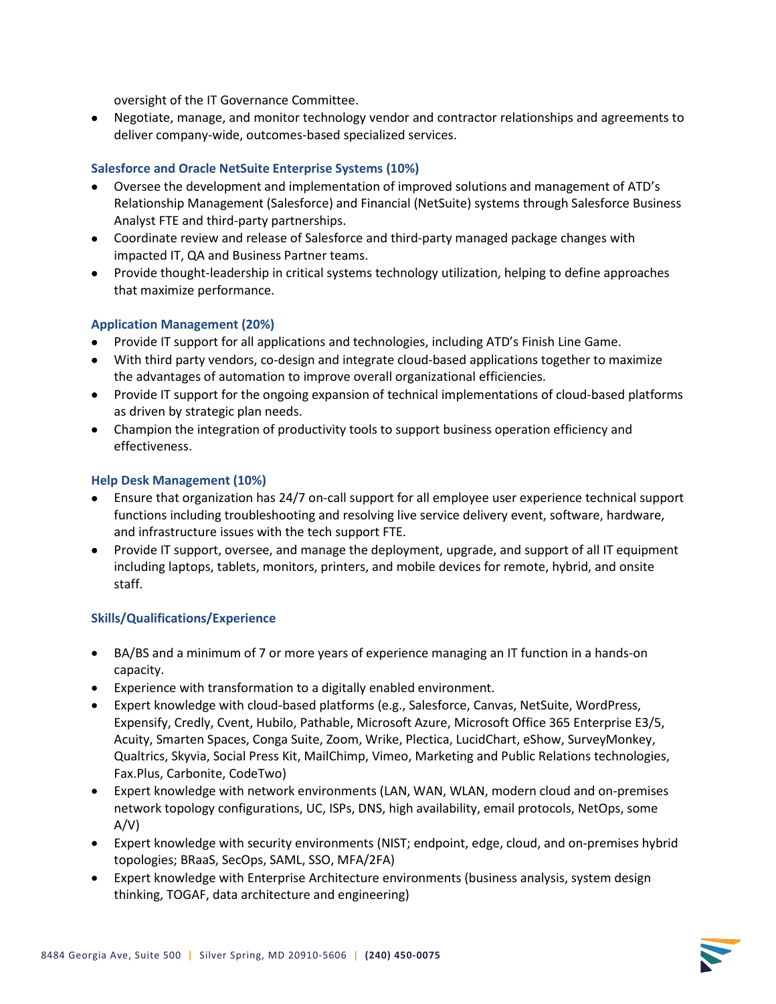oversight of the IT Governance Committee.

• Negotiate, manage, and monitor technology vendor and contractor relationships and agreements to deliver company-wide, outcomes-based specialized services.

# **Salesforce and Oracle NetSuite Enterprise Systems (10%)**

- Oversee the development and implementation of improved solutions and management of ATD's Relationship Management (Salesforce) and Financial (NetSuite) systems through Salesforce Business Analyst FTE and third-party partnerships.
- Coordinate review and release of Salesforce and third-party managed package changes with impacted IT, QA and Business Partner teams.
- Provide thought-leadership in critical systems technology utilization, helping to define approaches that maximize performance.

# **Application Management (20%)**

- Provide IT support for all applications and technologies, including ATD's Finish Line Game.
- With third party vendors, co-design and integrate cloud-based applications together to maximize the advantages of automation to improve overall organizational efficiencies.
- Provide IT support for the ongoing expansion of technical implementations of cloud-based platforms as driven by strategic plan needs.
- Champion the integration of productivity tools to support business operation efficiency and effectiveness.

## **Help Desk Management (10%)**

- Ensure that organization has 24/7 on-call support for all employee user experience technical support functions including troubleshooting and resolving live service delivery event, software, hardware, and infrastructure issues with the tech support FTE.
- Provide IT support, oversee, and manage the deployment, upgrade, and support of all IT equipment including laptops, tablets, monitors, printers, and mobile devices for remote, hybrid, and onsite staff.

## **Skills/Qualifications/Experience**

- BA/BS and a minimum of 7 or more years of experience managing an IT function in a hands-on capacity.
- Experience with transformation to a digitally enabled environment.
- Expert knowledge with cloud-based platforms (e.g., Salesforce, Canvas, NetSuite, WordPress, Expensify, Credly, Cvent, Hubilo, Pathable, Microsoft Azure, Microsoft Office 365 Enterprise E3/5, Acuity, Smarten Spaces, Conga Suite, Zoom, Wrike, Plectica, LucidChart, eShow, SurveyMonkey, Qualtrics, Skyvia, Social Press Kit, MailChimp, Vimeo, Marketing and Public Relations technologies, Fax.Plus, Carbonite, CodeTwo)
- Expert knowledge with network environments (LAN, WAN, WLAN, modern cloud and on-premises network topology configurations, UC, ISPs, DNS, high availability, email protocols, NetOps, some  $A/V$
- Expert knowledge with security environments (NIST; endpoint, edge, cloud, and on-premises hybrid topologies; BRaaS, SecOps, SAML, SSO, MFA/2FA)
- Expert knowledge with Enterprise Architecture environments (business analysis, system design thinking, TOGAF, data architecture and engineering)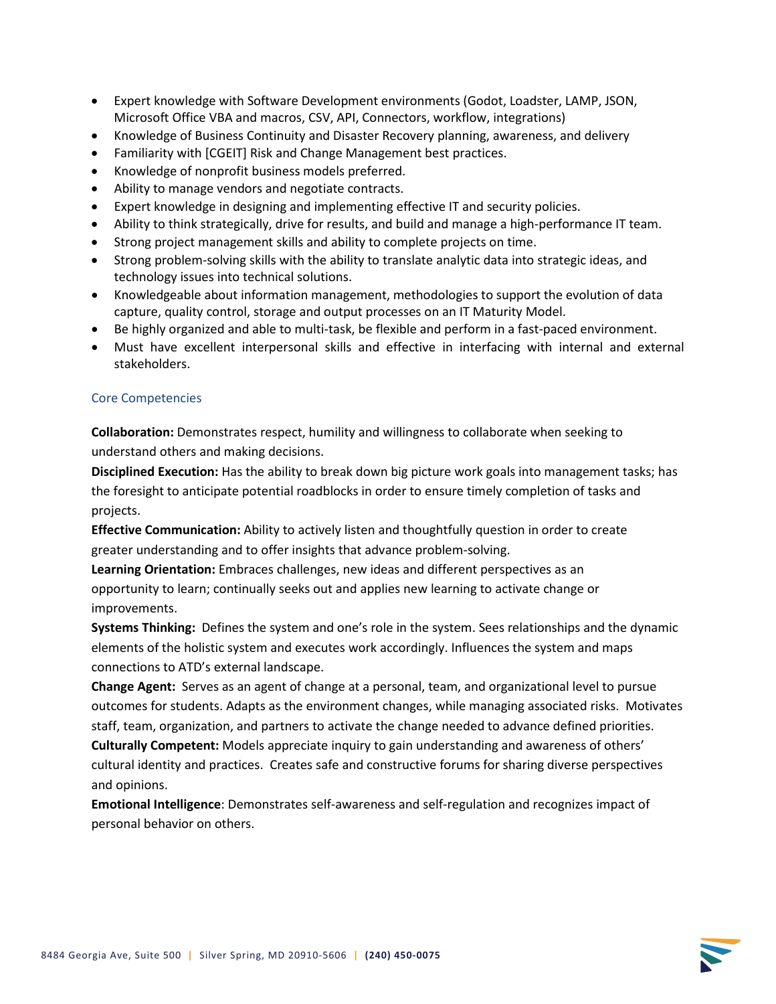- Expert knowledge with Software Development environments (Godot, Loadster, LAMP, JSON, Microsoft Office VBA and macros, CSV, API, Connectors, workflow, integrations)
- Knowledge of Business Continuity and Disaster Recovery planning, awareness, and delivery
- Familiarity with [CGEIT] Risk and Change Management best practices.
- Knowledge of nonprofit business models preferred.
- Ability to manage vendors and negotiate contracts.
- Expert knowledge in designing and implementing effective IT and security policies.
- Ability to think strategically, drive for results, and build and manage a high-performance IT team.
- Strong project management skills and ability to complete projects on time.
- Strong problem-solving skills with the ability to translate analytic data into strategic ideas, and technology issues into technical solutions.
- Knowledgeable about information management, methodologies to support the evolution of data capture, quality control, storage and output processes on an IT Maturity Model.
- Be highly organized and able to multi-task, be flexible and perform in a fast-paced environment.
- Must have excellent interpersonal skills and effective in interfacing with internal and external stakeholders.

## Core Competencies

**Collaboration:** Demonstrates respect, humility and willingness to collaborate when seeking to understand others and making decisions.

**Disciplined Execution:** Has the ability to break down big picture work goals into management tasks; has the foresight to anticipate potential roadblocks in order to ensure timely completion of tasks and projects.

**Effective Communication:** Ability to actively listen and thoughtfully question in order to create greater understanding and to offer insights that advance problem-solving.

**Learning Orientation:** Embraces challenges, new ideas and different perspectives as an opportunity to learn; continually seeks out and applies new learning to activate change or improvements.

**Systems Thinking:** Defines the system and one's role in the system. Sees relationships and the dynamic elements of the holistic system and executes work accordingly. Influences the system and maps connections to ATD's external landscape.

**Change Agent:** Serves as an agent of change at a personal, team, and organizational level to pursue outcomes for students. Adapts as the environment changes, while managing associated risks. Motivates staff, team, organization, and partners to activate the change needed to advance defined priorities.

**Culturally Competent:** Models appreciate inquiry to gain understanding and awareness of others' cultural identity and practices. Creates safe and constructive forums for sharing diverse perspectives and opinions.

**Emotional Intelligence**: Demonstrates self-awareness and self-regulation and recognizes impact of personal behavior on others.